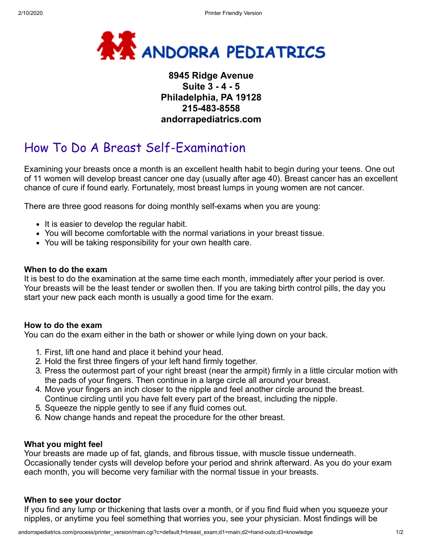

## **8945 Ridge Avenue Suite 3 - 4 - 5 Philadelphia, PA 19128 215-483-8558 andorrapediatrics.com**

# How To Do A Breast Self-Examination

Examining your breasts once a month is an excellent health habit to begin during your teens. One out of 11 women will develop breast cancer one day (usually after age 40). Breast cancer has an excellent chance of cure if found early. Fortunately, most breast lumps in young women are not cancer.

There are three good reasons for doing monthly self-exams when you are young:

- $\bullet$  It is easier to develop the regular habit.
- You will become comfortable with the normal variations in your breast tissue.
- You will be taking responsibility for your own health care.

#### **When to do the exam**

It is best to do the examination at the same time each month, immediately after your period is over. Your breasts will be the least tender or swollen then. If you are taking birth control pills, the day you start your new pack each month is usually a good time for the exam.

#### **How to do the exam**

You can do the exam either in the bath or shower or while lying down on your back.

- 1. First, lift one hand and place it behind your head.
- 2. Hold the first three fingers of your left hand firmly together.
- 3. Press the outermost part of your right breast (near the armpit) firmly in a little circular motion with the pads of your fingers. Then continue in a large circle all around your breast.
- 4. Move your fingers an inch closer to the nipple and feel another circle around the breast. Continue circling until you have felt every part of the breast, including the nipple.
- 5. Squeeze the nipple gently to see if any fluid comes out.
- 6. Now change hands and repeat the procedure for the other breast.

#### **What you might feel**

Your breasts are made up of fat, glands, and fibrous tissue, with muscle tissue underneath. Occasionally tender cysts will develop before your period and shrink afterward. As you do your exam each month, you will become very familiar with the normal tissue in your breasts.

#### **When to see your doctor**

If you find any lump or thickening that lasts over a month, or if you find fluid when you squeeze your nipples, or anytime you feel something that worries you, see your physician. Most findings will be